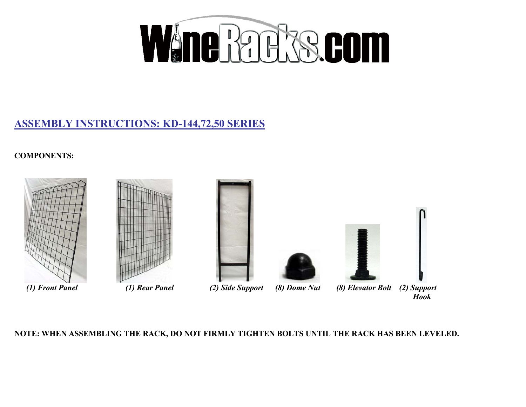

## **ASSEMBLY INSTRUCTIONS: KD-144,72,50 SERIES**

**COMPONENTS:** 











*(1) Front Panel (1) Rear Panel (2) Side Support (8) Dome Nut (8) Elevator Bolt (2) Support Hook* 

**NOTE: WHEN ASSEMBLING THE RACK, DO NOT FIRMLY TIGHTEN BOLTS UNTIL THE RACK HAS BEEN LEVELED.**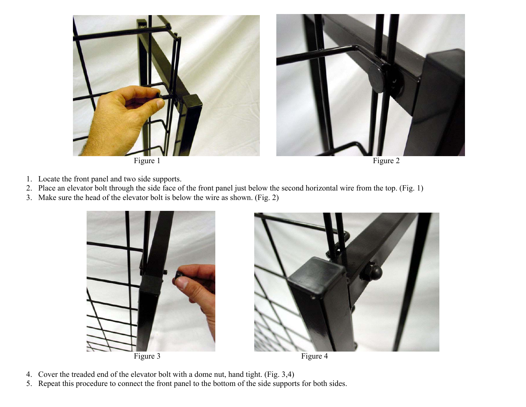

- 1. Locate the front panel and two side supports.
- 2. Place an elevator bolt through the side face of the front panel just below the second horizontal wire from the top. (Fig. 1)
- 3. Make sure the head of the elevator bolt is below the wire as shown. (Fig. 2)





- 4. Cover the treaded end of the elevator bolt with a dome nut, hand tight. (Fig. 3,4)
- 5. Repeat this procedure to connect the front panel to the bottom of the side supports for both sides.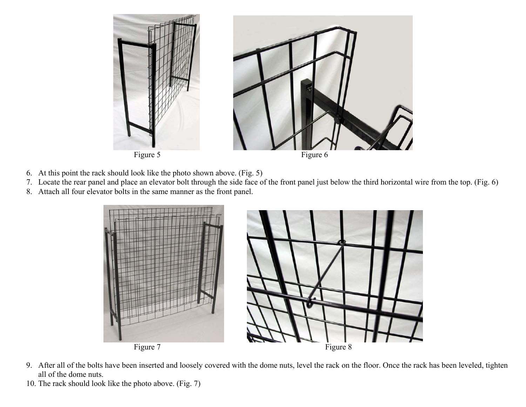

- 6. At this point the rack should look like the photo shown above. (Fig. 5)
- 7. Locate the rear panel and place an elevator bolt through the side face of the front panel just below the third horizontal wire from the top. (Fig. 6)
- 8. Attach all four elevator bolts in the same manner as the front panel.



- 9. After all of the bolts have been inserted and loosely covered with the dome nuts, level the rack on the floor. Once the rack has been leveled, tighten all of the dome nuts.
- 10. The rack should look like the photo above. (Fig. 7)